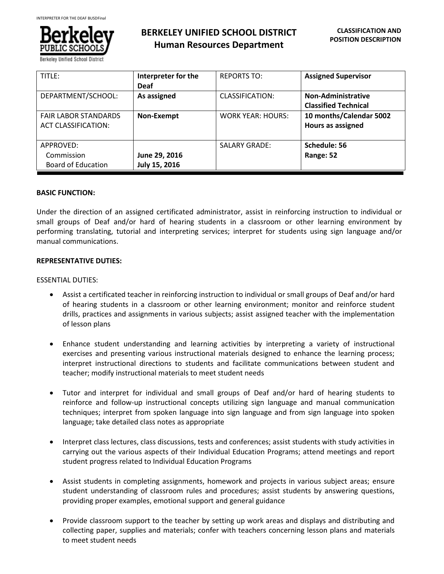

**BERKELEY UNIFIED SCHOOL DISTRICT Human Resources Department**

| TITLE:                                                    | Interpreter for the<br><b>Deaf</b> | <b>REPORTS TO:</b>   | <b>Assigned Supervisor</b>                               |
|-----------------------------------------------------------|------------------------------------|----------------------|----------------------------------------------------------|
| DEPARTMENT/SCHOOL:                                        | As assigned                        | CLASSIFICATION:      | <b>Non-Administrative</b><br><b>Classified Technical</b> |
| <b>FAIR LABOR STANDARDS</b><br><b>ACT CLASSIFICATION:</b> | Non-Exempt                         | WORK YEAR: HOURS:    | 10 months/Calendar 5002<br>Hours as assigned             |
| APPROVED:<br>Commission<br>Board of Education             | June 29, 2016<br>July 15, 2016     | <b>SALARY GRADE:</b> | Schedule: 56<br>Range: 52                                |

## **BASIC FUNCTION:**

Under the direction of an assigned certificated administrator, assist in reinforcing instruction to individual or small groups of Deaf and/or hard of hearing students in a classroom or other learning environment by performing translating, tutorial and interpreting services; interpret for students using sign language and/or manual communications.

## **REPRESENTATIVE DUTIES:**

## ESSENTIAL DUTIES:

- Assist a certificated teacher in reinforcing instruction to individual or small groups of Deaf and/or hard of hearing students in a classroom or other learning environment; monitor and reinforce student drills, practices and assignments in various subjects; assist assigned teacher with the implementation of lesson plans
- Enhance student understanding and learning activities by interpreting a variety of instructional exercises and presenting various instructional materials designed to enhance the learning process; interpret instructional directions to students and facilitate communications between student and teacher; modify instructional materials to meet student needs
- Tutor and interpret for individual and small groups of Deaf and/or hard of hearing students to reinforce and follow-up instructional concepts utilizing sign language and manual communication techniques; interpret from spoken language into sign language and from sign language into spoken language; take detailed class notes as appropriate
- Interpret class lectures, class discussions, tests and conferences; assist students with study activities in carrying out the various aspects of their Individual Education Programs; attend meetings and report student progress related to Individual Education Programs
- Assist students in completing assignments, homework and projects in various subject areas; ensure student understanding of classroom rules and procedures; assist students by answering questions, providing proper examples, emotional support and general guidance
- Provide classroom support to the teacher by setting up work areas and displays and distributing and collecting paper, supplies and materials; confer with teachers concerning lesson plans and materials to meet student needs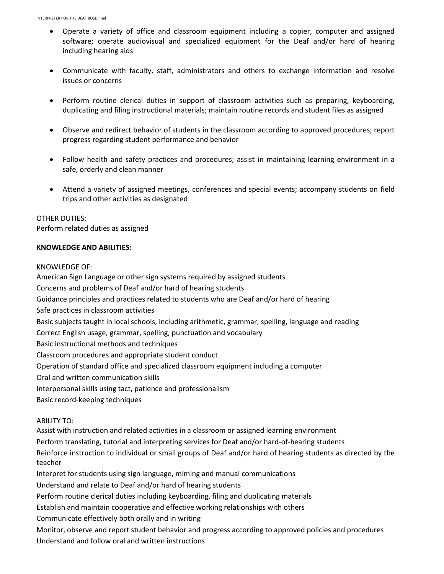- Operate a variety of office and classroom equipment including a copier, computer and assigned software; operate audiovisual and specialized equipment for the Deaf and/or hard of hearing including hearing aids
- Communicate with faculty, staff, administrators and others to exchange information and resolve issues or concerns
- Perform routine clerical duties in support of classroom activities such as preparing, keyboarding, duplicating and filing instructional materials; maintain routine records and student files as assigned
- Observe and redirect behavior of students in the classroom according to approved procedures; report progress regarding student performance and behavior
- Follow health and safety practices and procedures; assist in maintaining learning environment in a safe, orderly and clean manner
- Attend a variety of assigned meetings, conferences and special events; accompany students on field trips and other activities as designated

# OTHER DUTIES:

Perform related duties as assigned

## **KNOWLEDGE AND ABILITIES:**

KNOWLEDGE OF:

American Sign Language or other sign systems required by assigned students

Concerns and problems of Deaf and/or hard of hearing students

Guidance principles and practices related to students who are Deaf and/or hard of hearing

Safe practices in classroom activities

Basic subjects taught in local schools, including arithmetic, grammar, spelling, language and reading

Correct English usage, grammar, spelling, punctuation and vocabulary

Basic instructional methods and techniques

Classroom procedures and appropriate student conduct

Operation of standard office and specialized classroom equipment including a computer

Oral and written communication skills

Interpersonal skills using tact, patience and professionalism

Basic record-keeping techniques

## ABILITY TO:

Assist with instruction and related activities in a classroom or assigned learning environment

Perform translating, tutorial and interpreting services for Deaf and/or hard-of-hearing students

Reinforce instruction to individual or small groups of Deaf and/or hard of hearing students as directed by the teacher

Interpret for students using sign language, miming and manual communications

Understand and relate to Deaf and/or hard of hearing students

Perform routine clerical duties including keyboarding, filing and duplicating materials

Establish and maintain cooperative and effective working relationships with others

Communicate effectively both orally and in writing

Monitor, observe and report student behavior and progress according to approved policies and procedures Understand and follow oral and written instructions